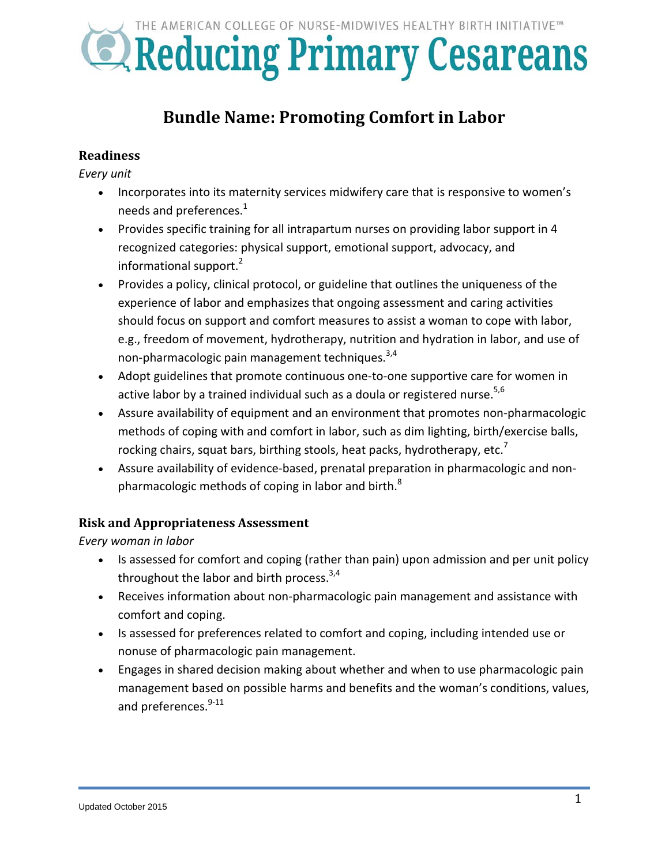

# **Bundle Name: Promoting Comfort in Labor**

### **Readiness**

*Every unit*

- Incorporates into its maternity services midwifery care that is responsive to women's needs and preferences.<sup>1</sup>
- Provides specific training for all intrapartum nurses on providing labor support in 4 recognized categories: physical support, emotional support, advocacy, and informational support. $2$
- Provides a policy, clinical protocol, or guideline that outlines the uniqueness of the experience of labor and emphasizes that ongoing assessment and caring activities should focus on support and comfort measures to assist a woman to cope with labor, e.g., freedom of movement, hydrotherapy, nutrition and hydration in labor, and use of non-pharmacologic pain management techniques. 3,4
- Adopt guidelines that promote continuous one-to-one supportive care for women in active labor by a trained individual such as a doula or registered nurse.<sup>5,6</sup>
- Assure availability of equipment and an environment that promotes non-pharmacologic methods of coping with and comfort in labor, such as dim lighting, birth/exercise balls, rocking chairs, squat bars, birthing stools, heat packs, hydrotherapy, etc. $^7$
- Assure availability of evidence-based, prenatal preparation in pharmacologic and nonpharmacologic methods of coping in labor and birth. $8<sup>8</sup>$

#### **Risk and Appropriateness Assessment**

*Every woman in labor*

- Is assessed for comfort and coping (rather than pain) upon admission and per unit policy throughout the labor and birth process.<sup>3,4</sup>
- Receives information about non-pharmacologic pain management and assistance with comfort and coping.
- Is assessed for preferences related to comfort and coping, including intended use or nonuse of pharmacologic pain management.
- Engages in shared decision making about whether and when to use pharmacologic pain management based on possible harms and benefits and the woman's conditions, values, and preferences.<sup>9-11</sup>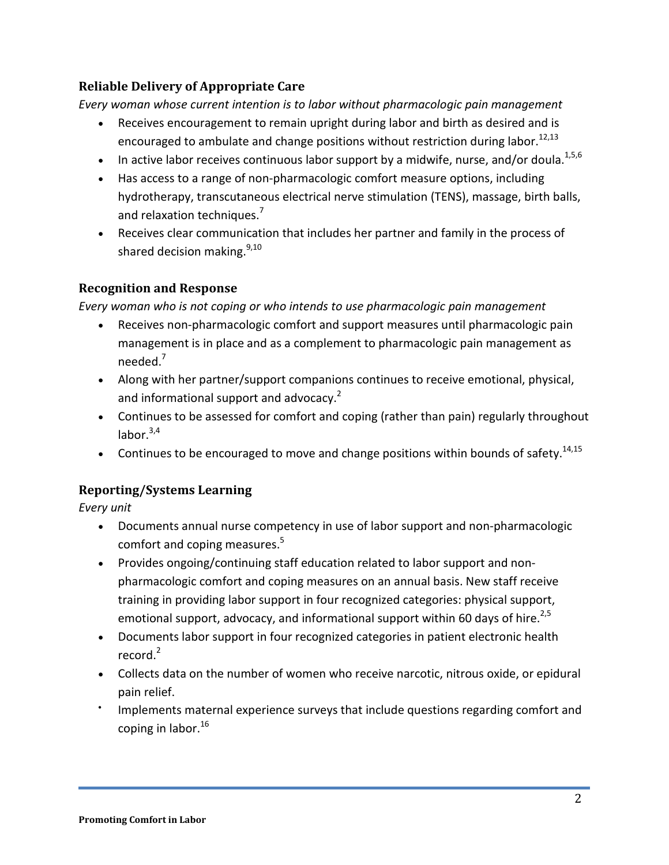## **Reliable Delivery of Appropriate Care**

*Every woman whose current intention is to labor without pharmacologic pain management*

- Receives encouragement to remain upright during labor and birth as desired and is encouraged to ambulate and change positions without restriction during labor.<sup>12,13</sup>
- In active labor receives continuous labor support by a midwife, nurse, and/or doula.<sup>1,5,6</sup>
- Has access to a range of non-pharmacologic comfort measure options, including hydrotherapy, transcutaneous electrical nerve stimulation (TENS), massage, birth balls, and relaxation techniques.<sup>7</sup>
- Receives clear communication that includes her partner and family in the process of shared decision making.<sup>9,10</sup>

## **Recognition and Response**

*Every woman who is not coping or who intends to use pharmacologic pain management*

- Receives non-pharmacologic comfort and support measures until pharmacologic pain management is in place and as a complement to pharmacologic pain management as needed.7
- Along with her partner/support companions continues to receive emotional, physical, and informational support and advocacy.<sup>2</sup>
- Continues to be assessed for comfort and coping (rather than pain) regularly throughout labor. 3,4
- Continues to be encouraged to move and change positions within bounds of safety.<sup>14,15</sup>

## **Reporting/Systems Learning**

*Every unit*

- Documents annual nurse competency in use of labor support and non-pharmacologic comfort and coping measures.<sup>5</sup>
- Provides ongoing/continuing staff education related to labor support and nonpharmacologic comfort and coping measures on an annual basis. New staff receive training in providing labor support in four recognized categories: physical support, emotional support, advocacy, and informational support within 60 days of hire.<sup>2,5</sup>
- Documents labor support in four recognized categories in patient electronic health record. 2
- Collects data on the number of women who receive narcotic, nitrous oxide, or epidural pain relief.
- Implements maternal experience surveys that include questions regarding comfort and coping in labor. 16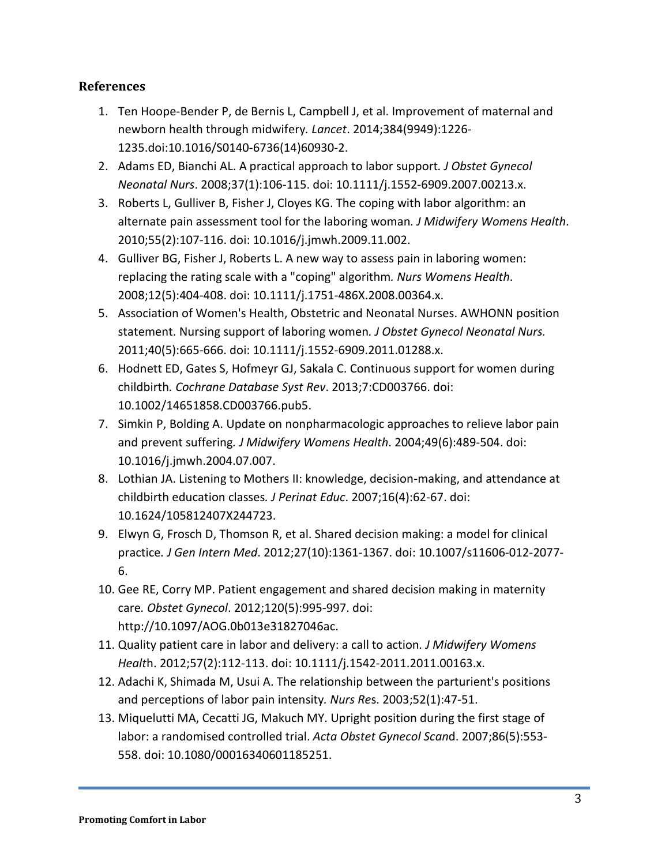#### **References**

- 1. Ten Hoope-Bender P, de Bernis L, Campbell J, et al. Improvement of maternal and newborn health through midwifery*. Lancet*. 2014;384(9949):1226- 1235.doi:10.1016/S0140-6736(14)60930-2.
- 2. Adams ED, Bianchi AL. A practical approach to labor support*. J Obstet Gynecol Neonatal Nurs*. 2008;37(1):106-115. doi: 10.1111/j.1552-6909.2007.00213.x.
- 3. Roberts L, Gulliver B, Fisher J, Cloyes KG. The coping with labor algorithm: an alternate pain assessment tool for the laboring woman*. J Midwifery Womens Health*. 2010;55(2):107-116. doi: 10.1016/j.jmwh.2009.11.002.
- 4. Gulliver BG, Fisher J, Roberts L. A new way to assess pain in laboring women: replacing the rating scale with a "coping" algorithm*. Nurs Womens Health*. 2008;12(5):404-408. doi: 10.1111/j.1751-486X.2008.00364.x.
- 5. Association of Women's Health, Obstetric and Neonatal Nurses. AWHONN position statement. Nursing support of laboring women*. J Obstet Gynecol Neonatal Nurs.*  2011;40(5):665-666. doi: 10.1111/j.1552-6909.2011.01288.x.
- 6. Hodnett ED, Gates S, Hofmeyr GJ, Sakala C. Continuous support for women during childbirth*. Cochrane Database Syst Rev*. 2013;7:CD003766. doi: 10.1002/14651858.CD003766.pub5.
- 7. Simkin P, Bolding A. Update on nonpharmacologic approaches to relieve labor pain and prevent suffering*. J Midwifery Womens Health*. 2004;49(6):489-504. doi: 10.1016/j.jmwh.2004.07.007.
- 8. Lothian JA. Listening to Mothers II: knowledge, decision-making, and attendance at childbirth education classes*. J Perinat Educ*. 2007;16(4):62-67. doi: 10.1624/105812407X244723.
- 9. Elwyn G, Frosch D, Thomson R, et al. Shared decision making: a model for clinical practice*. J Gen Intern Med*. 2012;27(10):1361-1367. doi: 10.1007/s11606-012-2077- 6.
- 10. Gee RE, Corry MP. Patient engagement and shared decision making in maternity care*. Obstet Gynecol*. 2012;120(5):995-997. doi: http://10.1097/AOG.0b013e31827046ac.
- 11. Quality patient care in labor and delivery: a call to action*. J Midwifery Womens Healt*h. 2012;57(2):112-113. doi: 10.1111/j.1542-2011.2011.00163.x.
- 12. Adachi K, Shimada M, Usui A. The relationship between the parturient's positions and perceptions of labor pain intensity*. Nurs Re*s. 2003;52(1):47-51.
- 13. Miquelutti MA, Cecatti JG, Makuch MY. Upright position during the first stage of labor: a randomised controlled trial. *Acta Obstet Gynecol Scan*d. 2007;86(5):553- 558. doi: 10.1080/00016340601185251.